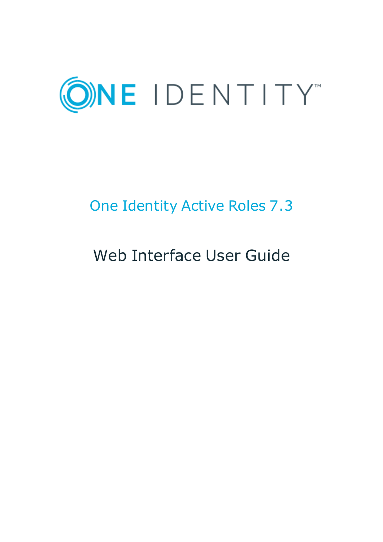

# One Identity Active Roles 7.3

# Web Interface User Guide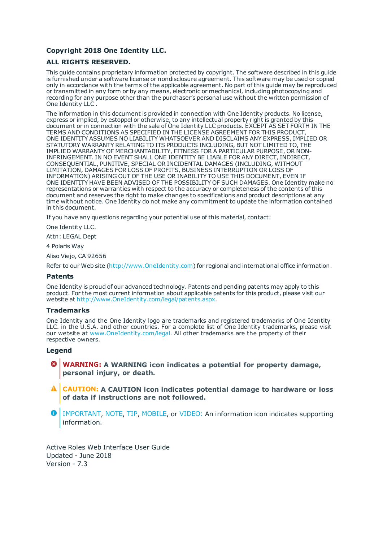#### **Copyright 2018 One Identity LLC.**

#### **ALL RIGHTS RESERVED.**

This guide contains proprietary information protected by copyright. The software described in this guide is furnished under a software license or nondisclosure agreement. This software may be used or copied only in accordance with the terms of the applicable agreement. No part of this guide may be reproduced or transmitted in any form or by any means, electronic or mechanical, including photocopying and recording for any purpose other than the purchaser's personal use without the written permission of One Identity LLC .

The information in this document is provided in connection with One Identity products. No license, express or implied, by estoppel or otherwise, to any intellectual property right is granted by this document or in connection with the sale of One Identity LLC products. EXCEPT AS SET FORTH IN THE TERMS AND CONDITIONS AS SPECIFIED IN THE LICENSE AGREEMENT FOR THIS PRODUCT, ONE IDENTITY ASSUMES NO LIABILITY WHATSOEVER AND DISCLAIMS ANY EXPRESS, IMPLIED OR STATUTORY WARRANTY RELATING TO ITS PRODUCTS INCLUDING, BUT NOT LIMITED TO, THE IMPLIED WARRANTY OF MERCHANTABILITY, FITNESS FOR A PARTICULAR PURPOSE, OR NON-INFRINGEMENT. IN NO EVENT SHALL ONE IDENTITY BE LIABLE FOR ANY DIRECT, INDIRECT, CONSEQUENTIAL, PUNITIVE, SPECIAL OR INCIDENTAL DAMAGES (INCLUDING, WITHOUT LIMITATION, DAMAGES FOR LOSS OF PROFITS, BUSINESS INTERRUPTION OR LOSS OF INFORMATION) ARISING OUT OF THE USE OR INABILITY TO USE THIS DOCUMENT, EVEN IF ONE IDENTITY HAVE BEEN ADVISED OF THE POSSIBILITY OF SUCH DAMAGES. One Identity make no representations or warranties with respect to the accuracy or completeness of the contents of this document and reserves the right to make changes to specifications and product descriptions at any time without notice. One Identity do not make any commitment to update the information contained in this document.

If you have any questions regarding your potential use of this material, contact:

One Identity LLC.

Attn: LEGAL Dept

4 Polaris Way

Aliso Viejo, CA 92656

Refer to our Web site ([http://www.OneIdentity.com](http://www.oneidentity.com/)) for regional and international office information.

#### **Patents**

One Identity is proud of our advanced technology. Patents and pending patents may apply to this product. For the most current information about applicable patents for this product, please visit our website at [http://www.OneIdentity.com/legal/patents.aspx](http://www.oneidentity.com/legal/patents.aspx).

#### **Trademarks**

One Identity and the One Identity logo are trademarks and registered trademarks of One Identity LLC. in the U.S.A. and other countries. For a complete list of One Identity trademarks, please visit our website at [www.OneIdentity.com/legal](http://www.oneidentity.com/legal). All other trademarks are the property of their respective owners.

#### **Legend**

- **WARNING: A WARNING icon indicates a potential for property damage, personal injury, or death.**
- **CAUTION: A CAUTION icon indicates potential damage to hardware or loss of data if instructions are not followed.**
- Œ IMPORTANT, NOTE, TIP, MOBILE, or VIDEO: An information icon indicates supporting information.

Active Roles Web Interface User Guide Updated - June 2018 Version - 7.3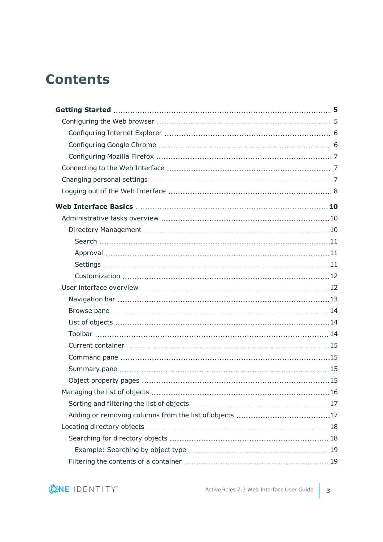## **Contents**

| . 16 |
|------|
|      |
|      |
|      |
|      |
|      |
|      |

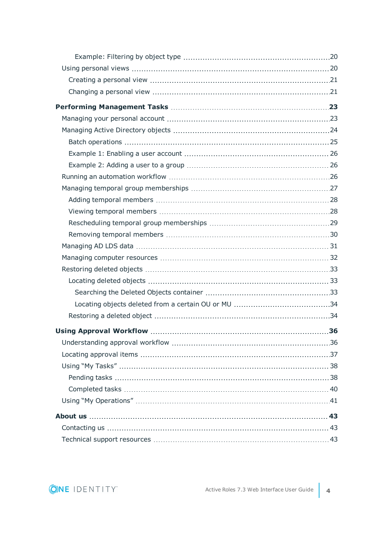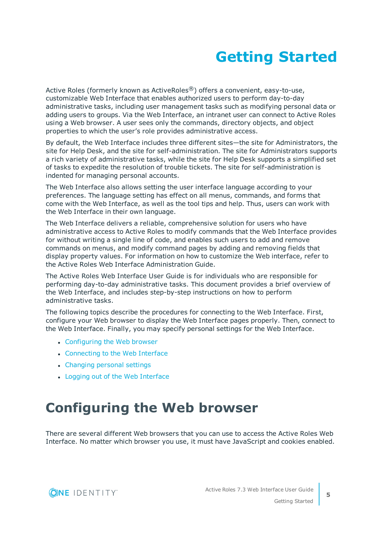# **Getting Started**

<span id="page-4-0"></span>Active Roles (formerly known as ActiveRoles<sup>®</sup>) offers a convenient, easy-to-use, customizable Web Interface that enables authorized users to perform day-to-day administrative tasks, including user management tasks such as modifying personal data or adding users to groups. Via the Web Interface, an intranet user can connect to Active Roles using a Web browser. A user sees only the commands, directory objects, and object properties to which the user's role provides administrative access.

By default, the Web Interface includes three different sites—the site for Administrators, the site for Help Desk, and the site for self-administration. The site for Administrators supports a rich variety of administrative tasks, while the site for Help Desk supports a simplified set of tasks to expedite the resolution of trouble tickets. The site for self-administration is indented for managing personal accounts.

The Web Interface also allows setting the user interface language according to your preferences. The language setting has effect on all menus, commands, and forms that come with the Web Interface, as well as the tool tips and help. Thus, users can work with the Web Interface in their own language.

The Web Interface delivers a reliable, comprehensive solution for users who have administrative access to Active Roles to modify commands that the Web Interface provides for without writing a single line of code, and enables such users to add and remove commands on menus, and modify command pages by adding and removing fields that display property values. For information on how to customize the Web interface, refer to the Active Roles Web Interface Administration Guide.

The Active Roles Web Interface User Guide is for individuals who are responsible for performing day-to-day administrative tasks. This document provides a brief overview of the Web Interface, and includes step-by-step instructions on how to perform administrative tasks.

The following topics describe the procedures for connecting to the Web Interface. First, configure your Web browser to display the Web Interface pages properly. Then, connect to the Web Interface. Finally, you may specify personal settings for the Web Interface.

- [Configuring](#page-4-1) the Web browser
- [Connecting](#page-6-1) to the Web Interface
- [Changing](#page-6-2) personal settings
- Logging out of the Web [Interface](#page-7-0)

# <span id="page-4-1"></span>**Configuring the Web browser**

There are several different Web browsers that you can use to access the Active Roles Web Interface. No matter which browser you use, it must have JavaScript and cookies enabled.



**5**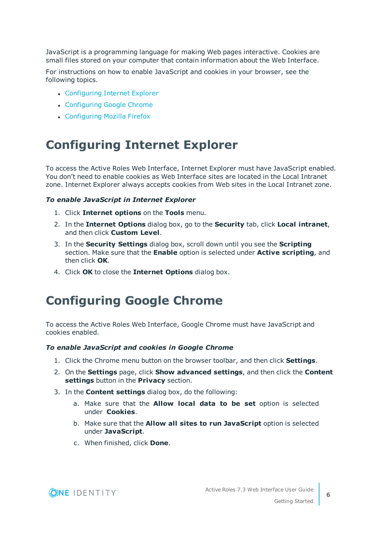JavaScript is a programming language for making Web pages interactive. Cookies are small files stored on your computer that contain information about the Web Interface.

For instructions on how to enable JavaScript and cookies in your browser, see the following topics.

- [Configuring](#page-5-0) Internet Explorer
- [Configuring](#page-5-1) Google Chrome
- [Configuring](#page-6-0) Mozilla Firefox

### <span id="page-5-0"></span>**Configuring Internet Explorer**

To access the Active Roles Web Interface, Internet Explorer must have JavaScript enabled. You don't need to enable cookies as Web Interface sites are located in the Local Intranet zone. Internet Explorer always accepts cookies from Web sites in the Local Intranet zone.

#### *To enable JavaScript in Internet Explorer*

- 1. Click **Internet options** on the **Tools** menu.
- 2. In the **Internet Options** dialog box, go to the **Security** tab, click **Local intranet**, and then click **Custom Level**.
- 3. In the **Security Settings** dialog box, scroll down until you see the **Scripting** section. Make sure that the **Enable** option is selected under **Active scripting**, and then click **OK**.
- <span id="page-5-1"></span>4. Click **OK** to close the **Internet Options** dialog box.

### **Configuring Google Chrome**

To access the Active Roles Web Interface, Google Chrome must have JavaScript and cookies enabled.

#### *To enable JavaScript and cookies in Google Chrome*

- 1. Click the Chrome menu button on the browser toolbar, and then click **Settings**.
- 2. On the **Settings** page, click **Show advanced settings**, and then click the **Content settings** button in the **Privacy** section.
- 3. In the **Content settings** dialog box, do the following:
	- a. Make sure that the **Allow local data to be set** option is selected under **Cookies**.
	- b. Make sure that the **Allow all sites to run JavaScript** option is selected under **JavaScript**.
	- c. When finished, click **Done**.

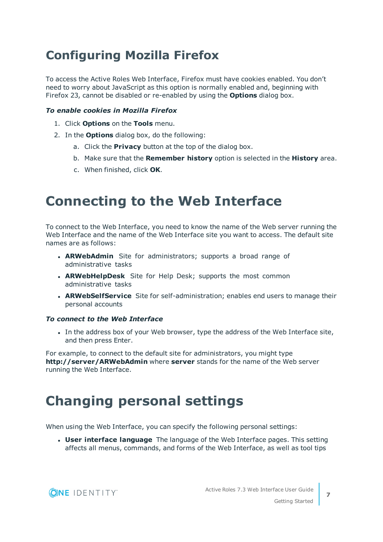## <span id="page-6-0"></span>**Configuring Mozilla Firefox**

To access the Active Roles Web Interface, Firefox must have cookies enabled. You don't need to worry about JavaScript as this option is normally enabled and, beginning with Firefox 23, cannot be disabled or re-enabled by using the **Options** dialog box.

#### *To enable cookies in Mozilla Firefox*

- 1. Click **Options** on the **Tools** menu.
- 2. In the **Options** dialog box, do the following:
	- a. Click the **Privacy** button at the top of the dialog box.
	- b. Make sure that the **Remember history** option is selected in the **History** area.
	- c. When finished, click **OK**.

## <span id="page-6-1"></span>**Connecting to the Web Interface**

To connect to the Web Interface, you need to know the name of the Web server running the Web Interface and the name of the Web Interface site you want to access. The default site names are as follows:

- **ARWebAdmin** Site for administrators; supports a broad range of administrative tasks
- **ARWebHelpDesk** Site for Help Desk; supports the most common administrative tasks
- **ARWebSelfService** Site for self-administration; enables end users to manage their personal accounts

#### *To connect to the Web Interface*

In the address box of your Web browser, type the address of the Web Interface site, and then press Enter.

For example, to connect to the default site for administrators, you might type **http://server/ARWebAdmin** where **server** stands for the name of the Web server running the Web Interface.

## <span id="page-6-2"></span>**Changing personal settings**

When using the Web Interface, you can specify the following personal settings:

**. User interface language** The language of the Web Interface pages. This setting affects all menus, commands, and forms of the Web Interface, as well as tool tips

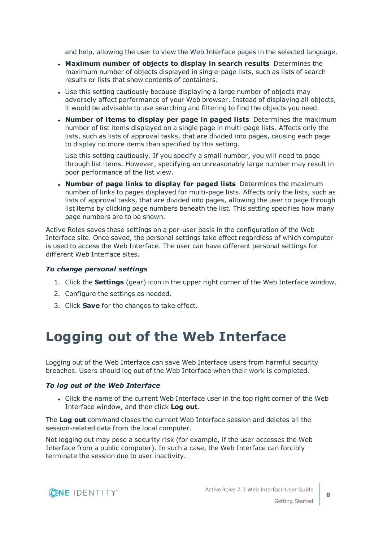and help, allowing the user to view the Web Interface pages in the selected language.

- <sup>l</sup> **Maximum number of objects to display in search results** Determines the maximum number of objects displayed in single-page lists, such as lists of search results or lists that show contents of containers.
- Use this setting cautiously because displaying a large number of objects may adversely affect performance of your Web browser. Instead of displaying all objects, it would be advisable to use searching and filtering to find the objects you need.
- <sup>l</sup> **Number of items to display per page in paged lists** Determines the maximum number of list items displayed on a single page in multi-page lists. Affects only the lists, such as lists of approval tasks, that are divided into pages, causing each page to display no more items than specified by this setting.

Use this setting cautiously. If you specify a small number, you will need to page through list items. However, specifying an unreasonably large number may result in poor performance of the list view.

<sup>l</sup> **Number of page links to display for paged lists** Determines the maximum number of links to pages displayed for multi-page lists. Affects only the lists, such as lists of approval tasks, that are divided into pages, allowing the user to page through list items by clicking page numbers beneath the list. This setting specifies how many page numbers are to be shown.

Active Roles saves these settings on a per-user basis in the configuration of the Web Interface site. Once saved, the personal settings take effect regardless of which computer is used to access the Web Interface. The user can have different personal settings for different Web Interface sites.

#### *To change personal settings*

- 1. Click the **Settings** (gear) icon in the upper right corner of the Web Interface window.
- 2. Configure the settings as needed.
- <span id="page-7-0"></span>3. Click **Save** for the changes to take effect.

## **Logging out of the Web Interface**

Logging out of the Web Interface can save Web Interface users from harmful security breaches. Users should log out of the Web Interface when their work is completed.

#### *To log out of the Web Interface*

• Click the name of the current Web Interface user in the top right corner of the Web Interface window, and then click **Log out**.

The **Log out** command closes the current Web Interface session and deletes all the session-related data from the local computer.

Not logging out may pose a security risk (for example, if the user accesses the Web Interface from a public computer). In such a case, the Web Interface can forcibly terminate the session due to user inactivity.

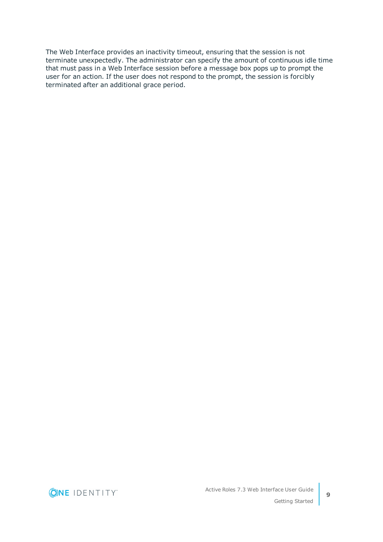The Web Interface provides an inactivity timeout, ensuring that the session is not terminate unexpectedly. The administrator can specify the amount of continuous idle time that must pass in a Web Interface session before a message box pops up to prompt the user for an action. If the user does not respond to the prompt, the session is forcibly terminated after an additional grace period.

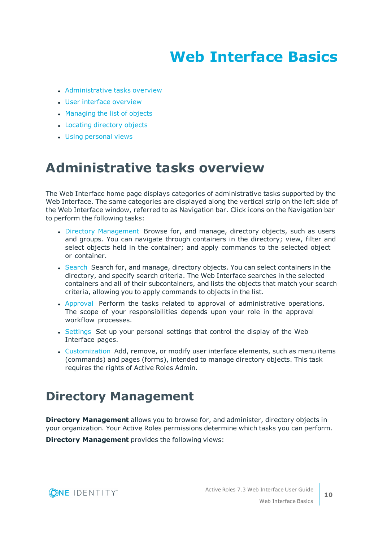# **Web Interface Basics**

- <span id="page-9-0"></span>• [Administrative](#page-9-1) tasks overview
- User interface [overview](#page-11-1)
- [Managing](#page-15-0) the list of objects
- Locating [directory](#page-17-0) objects
- <span id="page-9-1"></span>**.** Using [personal](#page-19-1) views

### **Administrative tasks overview**

The Web Interface home page displays categories of administrative tasks supported by the Web Interface. The same categories are displayed along the vertical strip on the left side of the Web Interface window, referred to as Navigation bar. Click icons on the Navigation bar to perform the following tasks:

- Directory [Management](#page-9-2) Browse for, and manage, directory objects, such as users and groups. You can navigate through containers in the directory; view, filter and select objects held in the container; and apply commands to the selected object or container.
- [Search](#page-10-0) Search for, and manage, directory objects. You can select containers in the directory, and specify search criteria. The Web Interface searches in the selected containers and all of their subcontainers, and lists the objects that match your search criteria, allowing you to apply commands to objects in the list.
- [Approval](#page-10-1) Perform the tasks related to approval of administrative operations. The scope of your responsibilities depends upon your role in the approval workflow processes.
- [Settings](#page-10-2) Set up your personal settings that control the display of the Web Interface pages.
- [Customization](#page-11-0) Add, remove, or modify user interface elements, such as menu items (commands) and pages (forms), intended to manage directory objects. This task requires the rights of Active Roles Admin.

### <span id="page-9-2"></span>**Directory Management**

**Directory Management** allows you to browse for, and administer, directory objects in your organization. Your Active Roles permissions determine which tasks you can perform.

**Directory Management** provides the following views:

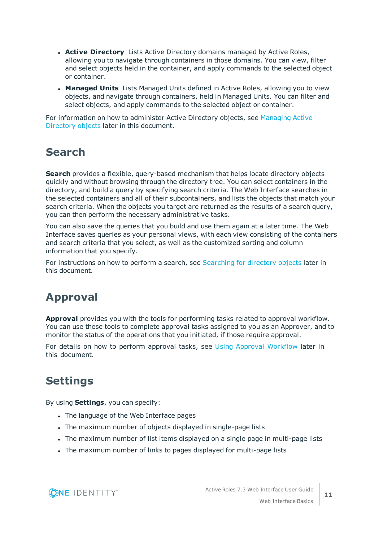- **Active Directory** Lists Active Directory domains managed by Active Roles, allowing you to navigate through containers in those domains. You can view, filter and select objects held in the container, and apply commands to the selected object or container.
- **Managed Units** Lists Managed Units defined in Active Roles, allowing you to view objects, and navigate through containers, held in Managed Units. You can filter and select objects, and apply commands to the selected object or container.

For information on how to administer Active Directory objects, see [Managing](#page-23-0) Active [Directory](#page-23-0) objects later in this document.

### <span id="page-10-0"></span>**Search**

**Search** provides a flexible, query-based mechanism that helps locate directory objects quickly and without browsing through the directory tree. You can select containers in the directory, and build a query by specifying search criteria. The Web Interface searches in the selected containers and all of their subcontainers, and lists the objects that match your search criteria. When the objects you target are returned as the results of a search query, you can then perform the necessary administrative tasks.

You can also save the queries that you build and use them again at a later time. The Web Interface saves queries as your personal views, with each view consisting of the containers and search criteria that you select, as well as the customized sorting and column information that you specify.

For instructions on how to perform a search, see [Searching](#page-17-1) for directory objects later in this document.

### <span id="page-10-1"></span>**Approval**

**Approval** provides you with the tools for performing tasks related to approval workflow. You can use these tools to complete approval tasks assigned to you as an Approver, and to monitor the status of the operations that you initiated, if those require approval.

For details on how to perform approval tasks, see Using Approval [Workflow](#page-35-0) later in this document.

### <span id="page-10-2"></span>**Settings**

By using **Settings**, you can specify:

- The language of the Web Interface pages
- The maximum number of objects displayed in single-page lists
- The maximum number of list items displayed on a single page in multi-page lists
- The maximum number of links to pages displayed for multi-page lists

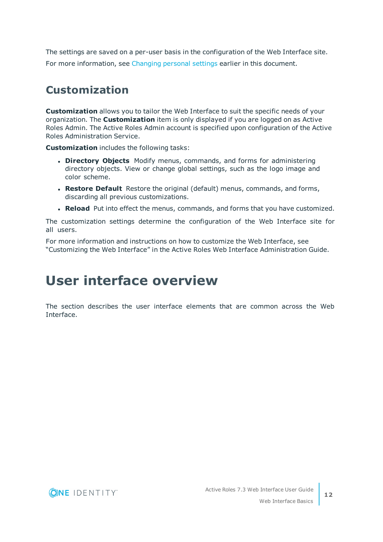The settings are saved on a per-user basis in the configuration of the Web Interface site. For more information, see [Changing](#page-6-2) personal settings earlier in this document.

### <span id="page-11-0"></span>**Customization**

**Customization** allows you to tailor the Web Interface to suit the specific needs of your organization. The **Customization** item is only displayed if you are logged on as Active Roles Admin. The Active Roles Admin account is specified upon configuration of the Active Roles Administration Service.

**Customization** includes the following tasks:

- **. Directory Objects** Modify menus, commands, and forms for administering directory objects. View or change global settings, such as the logo image and color scheme.
- <sup>l</sup> **Restore Default** Restore the original (default) menus, commands, and forms, discarding all previous customizations.
- **Reload** Put into effect the menus, commands, and forms that you have customized.

The customization settings determine the configuration of the Web Interface site for all users.

For more information and instructions on how to customize the Web Interface, see "Customizing the Web Interface" in the Active Roles Web Interface Administration Guide.

## <span id="page-11-1"></span>**User interface overview**

The section describes the user interface elements that are common across the Web Interface.

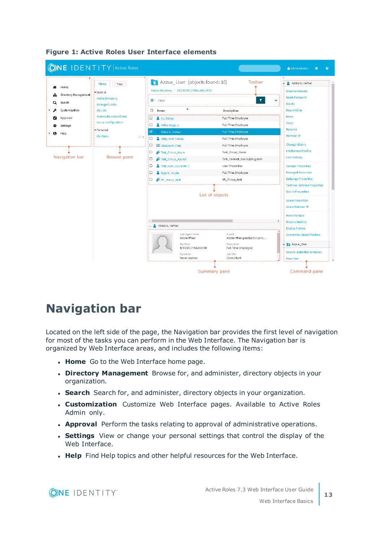

#### **Figure 1: Active Roles User Interface elements**

### <span id="page-12-0"></span>**Navigation bar**

Located on the left side of the page, the Navigation bar provides the first level of navigation for most of the tasks you can perform in the Web Interface. The Navigation bar is organized by Web Interface areas, and includes the following items:

- **Home** Go to the Web Interface home page.
- **. Directory Management** Browse for, and administer, directory objects in your organization.
- **. Search** Search for, and administer, directory objects in your organization.
- **. Customization** Customize Web Interface pages. Available to Active Roles Admin only.
- **Approval** Perform the tasks relating to approval of administrative operations.
- **. Settings** View or change your personal settings that control the display of the Web Interface.
- **. Help** Find Help topics and other helpful resources for the Web Interface.

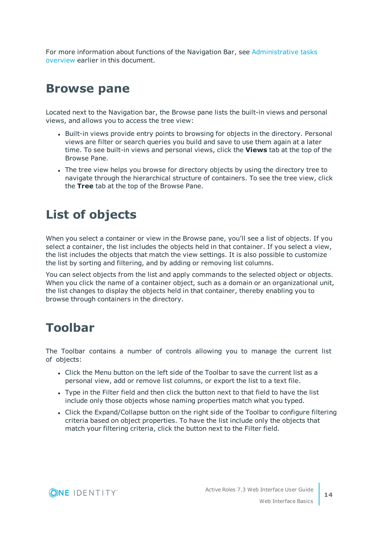For more information about functions of the Navigation Bar, see [Administrative](#page-9-1) tasks [overview](#page-9-1) earlier in this document.

### <span id="page-13-0"></span>**Browse pane**

Located next to the Navigation bar, the Browse pane lists the built-in views and personal views, and allows you to access the tree view:

- Built-in views provide entry points to browsing for objects in the directory. Personal views are filter or search queries you build and save to use them again at a later time. To see built-in views and personal views, click the **Views** tab at the top of the Browse Pane.
- The tree view helps you browse for directory objects by using the directory tree to navigate through the hierarchical structure of containers. To see the tree view, click the **Tree** tab at the top of the Browse Pane.

## <span id="page-13-1"></span>**List of objects**

When you select a container or view in the Browse pane, you'll see a list of objects. If you select a container, the list includes the objects held in that container. If you select a view, the list includes the objects that match the view settings. It is also possible to customize the list by sorting and filtering, and by adding or removing list columns.

You can select objects from the list and apply commands to the selected object or objects. When you click the name of a container object, such as a domain or an organizational unit, the list changes to display the objects held in that container, thereby enabling you to browse through containers in the directory.

### <span id="page-13-2"></span>**Toolbar**

The Toolbar contains a number of controls allowing you to manage the current list of objects:

- Click the Menu button on the left side of the Toolbar to save the current list as a personal view, add or remove list columns, or export the list to a text file.
- Type in the Filter field and then click the button next to that field to have the list include only those objects whose naming properties match what you typed.
- Click the Expand/Collapse button on the right side of the Toolbar to configure filtering criteria based on object properties. To have the list include only the objects that match your filtering criteria, click the button next to the Filter field.

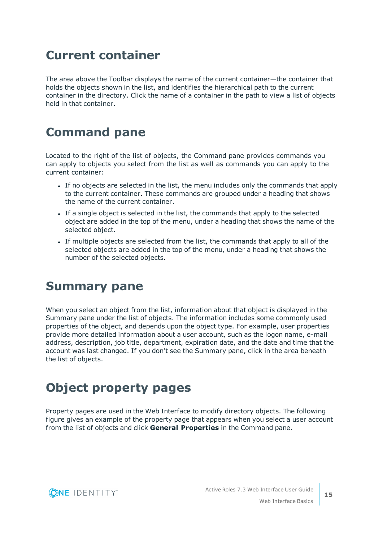### <span id="page-14-0"></span>**Current container**

The area above the Toolbar displays the name of the current container—the container that holds the objects shown in the list, and identifies the hierarchical path to the current container in the directory. Click the name of a container in the path to view a list of objects held in that container.

### <span id="page-14-1"></span>**Command pane**

Located to the right of the list of objects, the Command pane provides commands you can apply to objects you select from the list as well as commands you can apply to the current container:

- If no objects are selected in the list, the menu includes only the commands that apply to the current container. These commands are grouped under a heading that shows the name of the current container.
- If a single object is selected in the list, the commands that apply to the selected object are added in the top of the menu, under a heading that shows the name of the selected object.
- If multiple objects are selected from the list, the commands that apply to all of the selected objects are added in the top of the menu, under a heading that shows the number of the selected objects.

### <span id="page-14-2"></span>**Summary pane**

When you select an object from the list, information about that object is displayed in the Summary pane under the list of objects. The information includes some commonly used properties of the object, and depends upon the object type. For example, user properties provide more detailed information about a user account, such as the logon name, e-mail address, description, job title, department, expiration date, and the date and time that the account was last changed. If you don't see the Summary pane, click in the area beneath the list of objects.

## <span id="page-14-3"></span>**Object property pages**

Property pages are used in the Web Interface to modify directory objects. The following figure gives an example of the property page that appears when you select a user account from the list of objects and click **General Properties** in the Command pane.

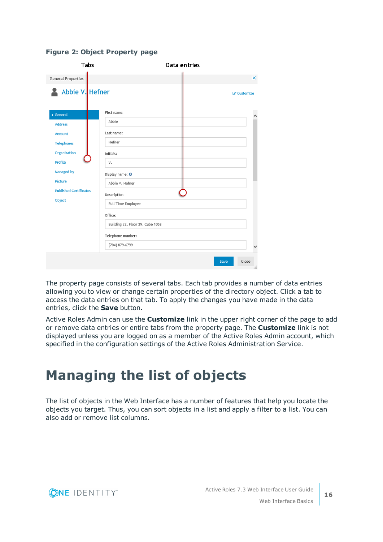| <b>Tabs</b>                   | Data entries                     |             |
|-------------------------------|----------------------------------|-------------|
| <b>General Properties</b>     |                                  | ×           |
| Abbie V. Hefner               |                                  | C Customize |
| > General                     | First name:                      |             |
| <b>Address</b>                | Abbie                            |             |
| <b>Account</b>                | Last name:                       |             |
| <b>Telephones</b>             | Hefner                           |             |
| Organization                  | Initials:                        |             |
| <b>Profile</b>                | V.                               |             |
| <b>Managed by</b>             | Display name: 0                  |             |
| <b>Picture</b>                | Abbie V. Hefner                  |             |
| <b>Published Certificates</b> | Description:                     |             |
| Object                        | Full Time Employee               |             |
|                               | Office:                          |             |
|                               | Building 32, Floor 29, Cube 1068 |             |
|                               | Telephone number:                |             |
|                               | (704) 879-6799                   |             |

#### **Figure 2: Object Property page**

The property page consists of several tabs. Each tab provides a number of data entries allowing you to view or change certain properties of the directory object. Click a tab to access the data entries on that tab. To apply the changes you have made in the data entries, click the **Save** button.

Active Roles Admin can use the **Customize** link in the upper right corner of the page to add or remove data entries or entire tabs from the property page. The **Customize** link is not displayed unless you are logged on as a member of the Active Roles Admin account, which specified in the configuration settings of the Active Roles Administration Service.

## <span id="page-15-0"></span>**Managing the list of objects**

The list of objects in the Web Interface has a number of features that help you locate the objects you target. Thus, you can sort objects in a list and apply a filter to a list. You can also add or remove list columns.

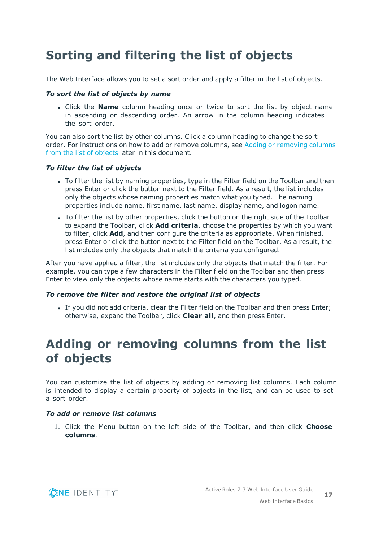## <span id="page-16-0"></span>**Sorting and filtering the list of objects**

The Web Interface allows you to set a sort order and apply a filter in the list of objects.

#### *To sort the list of objects by name*

<sup>l</sup> Click the **Name** column heading once or twice to sort the list by object name in ascending or descending order. An arrow in the column heading indicates the sort order.

You can also sort the list by other columns. Click a column heading to change the sort order. For instructions on how to add or remove columns, see Adding or [removing](#page-16-1) columns from the list of [objects](#page-16-1) later in this document.

#### *To filter the list of objects*

- To filter the list by naming properties, type in the Filter field on the Toolbar and then press Enter or click the button next to the Filter field. As a result, the list includes only the objects whose naming properties match what you typed. The naming properties include name, first name, last name, display name, and logon name.
- To filter the list by other properties, click the button on the right side of the Toolbar to expand the Toolbar, click **Add criteria**, choose the properties by which you want to filter, click **Add**, and then configure the criteria as appropriate. When finished, press Enter or click the button next to the Filter field on the Toolbar. As a result, the list includes only the objects that match the criteria you configured.

After you have applied a filter, the list includes only the objects that match the filter. For example, you can type a few characters in the Filter field on the Toolbar and then press Enter to view only the objects whose name starts with the characters you typed.

#### *To remove the filter and restore the original list of objects*

• If you did not add criteria, clear the Filter field on the Toolbar and then press Enter; otherwise, expand the Toolbar, click **Clear all**, and then press Enter.

### <span id="page-16-1"></span>**Adding or removing columns from the list of objects**

You can customize the list of objects by adding or removing list columns. Each column is intended to display a certain property of objects in the list, and can be used to set a sort order.

#### *To add or remove list columns*

1. Click the Menu button on the left side of the Toolbar, and then click **Choose columns**.

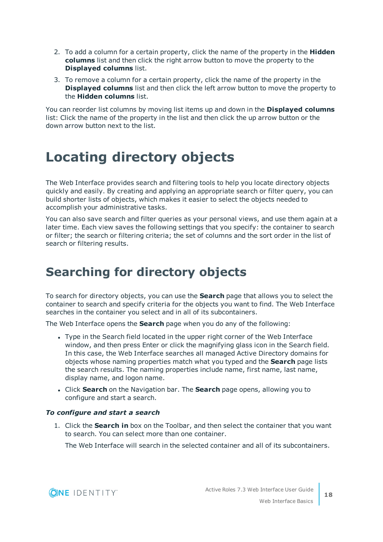- 2. To add a column for a certain property, click the name of the property in the **Hidden columns** list and then click the right arrow button to move the property to the **Displayed columns** list.
- 3. To remove a column for a certain property, click the name of the property in the **Displayed columns** list and then click the left arrow button to move the property to the **Hidden columns** list.

You can reorder list columns by moving list items up and down in the **Displayed columns** list: Click the name of the property in the list and then click the up arrow button or the down arrow button next to the list.

## <span id="page-17-0"></span>**Locating directory objects**

The Web Interface provides search and filtering tools to help you locate directory objects quickly and easily. By creating and applying an appropriate search or filter query, you can build shorter lists of objects, which makes it easier to select the objects needed to accomplish your administrative tasks.

You can also save search and filter queries as your personal views, and use them again at a later time. Each view saves the following settings that you specify: the container to search or filter; the search or filtering criteria; the set of columns and the sort order in the list of search or filtering results.

## <span id="page-17-1"></span>**Searching for directory objects**

To search for directory objects, you can use the **Search** page that allows you to select the container to search and specify criteria for the objects you want to find. The Web Interface searches in the container you select and in all of its subcontainers.

The Web Interface opens the **Search** page when you do any of the following:

- Type in the Search field located in the upper right corner of the Web Interface window, and then press Enter or click the magnifying glass icon in the Search field. In this case, the Web Interface searches all managed Active Directory domains for objects whose naming properties match what you typed and the **Search** page lists the search results. The naming properties include name, first name, last name, display name, and logon name.
- <sup>l</sup> Click **Search** on the Navigation bar. The **Search** page opens, allowing you to configure and start a search.

#### *To configure and start a search*

1. Click the **Search in** box on the Toolbar, and then select the container that you want to search. You can select more than one container.

The Web Interface will search in the selected container and all of its subcontainers.

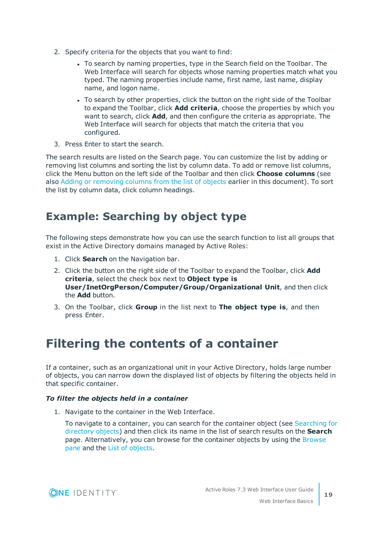- 2. Specify criteria for the objects that you want to find:
	- To search by naming properties, type in the Search field on the Toolbar. The Web Interface will search for objects whose naming properties match what you typed. The naming properties include name, first name, last name, display name, and logon name.
	- To search by other properties, click the button on the right side of the Toolbar to expand the Toolbar, click **Add criteria**, choose the properties by which you want to search, click **Add**, and then configure the criteria as appropriate. The Web Interface will search for objects that match the criteria that you configured.
- 3. Press Enter to start the search.

The search results are listed on the Search page. You can customize the list by adding or removing list columns and sorting the list by column data. To add or remove list columns, click the Menu button on the left side of the Toolbar and then click **Choose columns** (see also Adding or [removing](#page-16-1) columns from the list of objects earlier in this document). To sort the list by column data, click column headings.

### <span id="page-18-0"></span>**Example: Searching by object type**

The following steps demonstrate how you can use the search function to list all groups that exist in the Active Directory domains managed by Active Roles:

- 1. Click **Search** on the Navigation bar.
- 2. Click the button on the right side of the Toolbar to expand the Toolbar, click **Add criteria**, select the check box next to **Object type is User/InetOrgPerson/Computer/Group/Organizational Unit**, and then click the **Add** button.
- 3. On the Toolbar, click **Group** in the list next to **The object type is**, and then press Enter.

### <span id="page-18-1"></span>**Filtering the contents of a container**

If a container, such as an organizational unit in your Active Directory, holds large number of objects, you can narrow down the displayed list of objects by filtering the objects held in that specific container.

#### *To filter the objects held in a container*

1. Navigate to the container in the Web Interface.

To navigate to a container, you can search for the container object (see [Searching](#page-17-1) for [directory](#page-17-1) objects) and then click its name in the list of search results on the **Search** page. Alternatively, you can browse for the container objects by using the [Browse](#page-13-0) [pane](#page-13-0) and the List of [objects](#page-13-1).

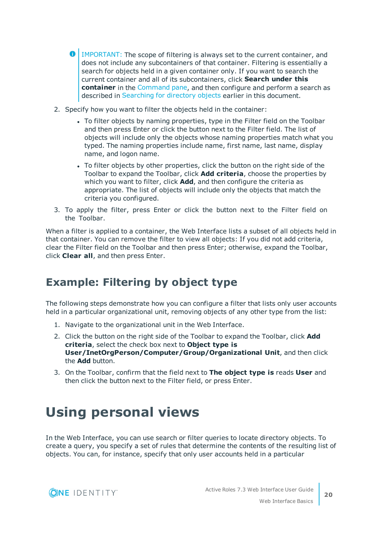- **O** | IMPORTANT: The scope of filtering is always set to the current container, and does not include any subcontainers of that container. Filtering is essentially a search for objects held in a given container only. If you want to search the current container and all of its subcontainers, click **Search under this container** in the [Command](#page-14-1) pane, and then configure and perform a search as described in [Searching](#page-17-1) for directory objects earlier in this document.
- 2. Specify how you want to filter the objects held in the container:
	- To filter objects by naming properties, type in the Filter field on the Toolbar and then press Enter or click the button next to the Filter field. The list of objects will include only the objects whose naming properties match what you typed. The naming properties include name, first name, last name, display name, and logon name.
	- To filter objects by other properties, click the button on the right side of the Toolbar to expand the Toolbar, click **Add criteria**, choose the properties by which you want to filter, click **Add**, and then configure the criteria as appropriate. The list of objects will include only the objects that match the criteria you configured.
- 3. To apply the filter, press Enter or click the button next to the Filter field on the Toolbar.

When a filter is applied to a container, the Web Interface lists a subset of all objects held in that container. You can remove the filter to view all objects: If you did not add criteria, clear the Filter field on the Toolbar and then press Enter; otherwise, expand the Toolbar, click **Clear all**, and then press Enter.

### <span id="page-19-0"></span>**Example: Filtering by object type**

The following steps demonstrate how you can configure a filter that lists only user accounts held in a particular organizational unit, removing objects of any other type from the list:

- 1. Navigate to the organizational unit in the Web Interface.
- 2. Click the button on the right side of the Toolbar to expand the Toolbar, click **Add criteria**, select the check box next to **Object type is User/InetOrgPerson/Computer/Group/Organizational Unit**, and then click the **Add** button.
- 3. On the Toolbar, confirm that the field next to **The object type is** reads **User** and then click the button next to the Filter field, or press Enter.

## <span id="page-19-1"></span>**Using personal views**

In the Web Interface, you can use search or filter queries to locate directory objects. To create a query, you specify a set of rules that determine the contents of the resulting list of objects. You can, for instance, specify that only user accounts held in a particular



**20**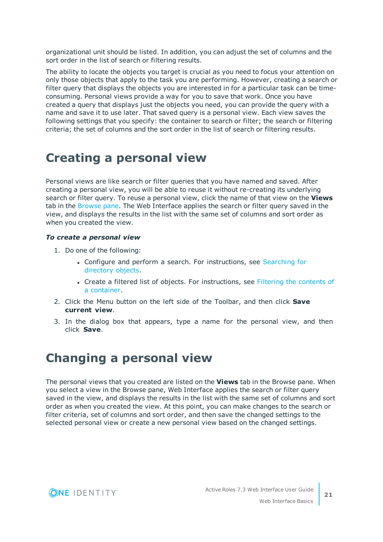organizational unit should be listed. In addition, you can adjust the set of columns and the sort order in the list of search or filtering results.

The ability to locate the objects you target is crucial as you need to focus your attention on only those objects that apply to the task you are performing. However, creating a search or filter query that displays the objects you are interested in for a particular task can be timeconsuming. Personal views provide a way for you to save that work. Once you have created a query that displays just the objects you need, you can provide the query with a name and save it to use later. That saved query is a personal view. Each view saves the following settings that you specify: the container to search or filter; the search or filtering criteria; the set of columns and the sort order in the list of search or filtering results.

### <span id="page-20-0"></span>**Creating a personal view**

Personal views are like search or filter queries that you have named and saved. After creating a personal view, you will be able to reuse it without re-creating its underlying search or filter query. To reuse a personal view, click the name of that view on the **Views** tab in the [Browse](#page-13-0) pane. The Web Interface applies the search or filter query saved in the view, and displays the results in the list with the same set of columns and sort order as when you created the view.

#### *To create a personal view*

- 1. Do one of the following:
	- Configure and perform a search. For instructions, see [Searching](#page-17-1) for [directory](#page-17-1) objects.
	- Create a filtered list of objects. For instructions, see Filtering the [contents](#page-18-1) of a [container.](#page-18-1)
- 2. Click the Menu button on the left side of the Toolbar, and then click **Save current view**.
- 3. In the dialog box that appears, type a name for the personal view, and then click **Save**.

### <span id="page-20-1"></span>**Changing a personal view**

The personal views that you created are listed on the **Views** tab in the Browse pane. When you select a view in the Browse pane, Web Interface applies the search or filter query saved in the view, and displays the results in the list with the same set of columns and sort order as when you created the view. At this point, you can make changes to the search or filter criteria, set of columns and sort order, and then save the changed settings to the selected personal view or create a new personal view based on the changed settings.

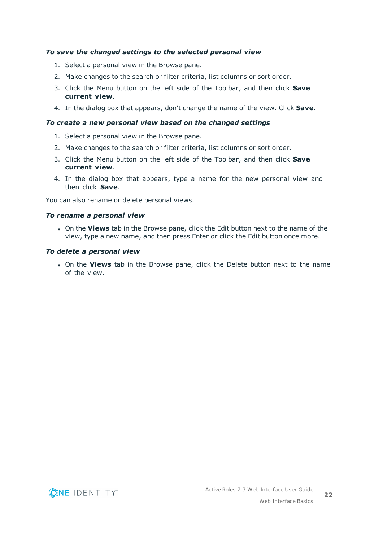#### *To save the changed settings to the selected personal view*

- 1. Select a personal view in the Browse pane.
- 2. Make changes to the search or filter criteria, list columns or sort order.
- 3. Click the Menu button on the left side of the Toolbar, and then click **Save current view**.
- 4. In the dialog box that appears, don't change the name of the view. Click **Save**.

#### *To create a new personal view based on the changed settings*

- 1. Select a personal view in the Browse pane.
- 2. Make changes to the search or filter criteria, list columns or sort order.
- 3. Click the Menu button on the left side of the Toolbar, and then click **Save current view**.
- 4. In the dialog box that appears, type a name for the new personal view and then click **Save**.

You can also rename or delete personal views.

#### *To rename a personal view*

**.** On the Views tab in the Browse pane, click the Edit button next to the name of the view, type a new name, and then press Enter or click the Edit button once more.

#### *To delete a personal view*

<sup>l</sup> On the **Views** tab in the Browse pane, click the Delete button next to the name of the view.

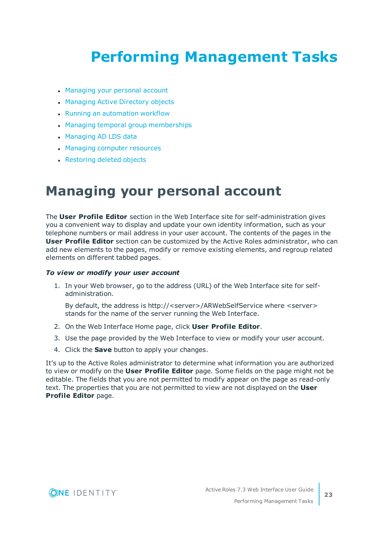# <span id="page-22-0"></span>**Performing Management Tasks**

- [Managing](#page-22-1) your personal account
- [Managing](#page-23-0) Active Directory objects
- Running an [automation](#page-25-2) workflow
- Managing temporal group [memberships](#page-26-0)
- [Managing](#page-30-0) AD LDS data
- Managing computer [resources](#page-31-0)
- <span id="page-22-1"></span>• [Restoring](#page-32-0) deleted objects

## **Managing your personal account**

The **User Profile Editor** section in the Web Interface site for self-administration gives you a convenient way to display and update your own identity information, such as your telephone numbers or mail address in your user account. The contents of the pages in the **User Profile Editor** section can be customized by the Active Roles administrator, who can add new elements to the pages, modify or remove existing elements, and regroup related elements on different tabbed pages.

#### *To view or modify your user account*

1. In your Web browser, go to the address (URL) of the Web Interface site for selfadministration.

By default, the address is http://<server>/ARWebSelfService where <server> stands for the name of the server running the Web Interface.

- 2. On the Web Interface Home page, click **User Profile Editor**.
- 3. Use the page provided by the Web Interface to view or modify your user account.
- 4. Click the **Save** button to apply your changes.

It's up to the Active Roles administrator to determine what information you are authorized to view or modify on the **User Profile Editor** page. Some fields on the page might not be editable. The fields that you are not permitted to modify appear on the page as read-only text. The properties that you are not permitted to view are not displayed on the **User Profile Editor** page.

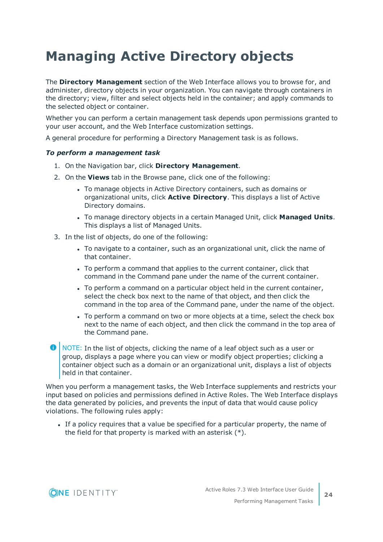## <span id="page-23-0"></span>**Managing Active Directory objects**

The **Directory Management** section of the Web Interface allows you to browse for, and administer, directory objects in your organization. You can navigate through containers in the directory; view, filter and select objects held in the container; and apply commands to the selected object or container.

Whether you can perform a certain management task depends upon permissions granted to your user account, and the Web Interface customization settings.

A general procedure for performing a Directory Management task is as follows.

#### *To perform a management task*

- 1. On the Navigation bar, click **Directory Management**.
- 2. On the **Views** tab in the Browse pane, click one of the following:
	- To manage objects in Active Directory containers, such as domains or organizational units, click **Active Directory**. This displays a list of Active Directory domains.
	- <sup>l</sup> To manage directory objects in a certain Managed Unit, click **Managed Units**. This displays a list of Managed Units.
- 3. In the list of objects, do one of the following:
	- To navigate to a container, such as an organizational unit, click the name of that container.
	- To perform a command that applies to the current container, click that command in the Command pane under the name of the current container.
	- To perform a command on a particular object held in the current container, select the check box next to the name of that object, and then click the command in the top area of the Command pane, under the name of the object.
	- To perform a command on two or more objects at a time, select the check box next to the name of each object, and then click the command in the top area of the Command pane.
- **O** NOTE: In the list of objects, clicking the name of a leaf object such as a user or group, displays a page where you can view or modify object properties; clicking a container object such as a domain or an organizational unit, displays a list of objects held in that container.

When you perform a management tasks, the Web Interface supplements and restricts your input based on policies and permissions defined in Active Roles. The Web Interface displays the data generated by policies, and prevents the input of data that would cause policy violations. The following rules apply:

If a policy requires that a value be specified for a particular property, the name of the field for that property is marked with an asterisk (\*).

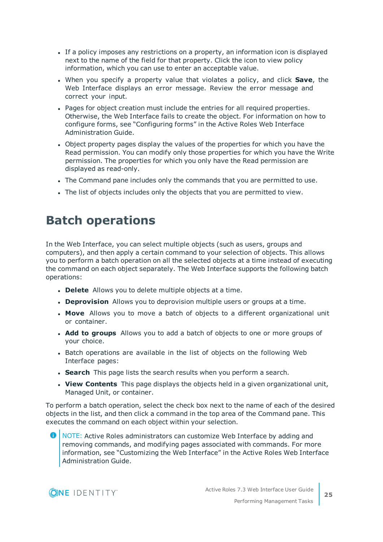- If a policy imposes any restrictions on a property, an information icon is displayed next to the name of the field for that property. Click the icon to view policy information, which you can use to enter an acceptable value.
- <sup>l</sup> When you specify a property value that violates a policy, and click **Save**, the Web Interface displays an error message. Review the error message and correct your input.
- Pages for object creation must include the entries for all required properties. Otherwise, the Web Interface fails to create the object. For information on how to configure forms, see "Configuring forms" in the Active Roles Web Interface Administration Guide.
- Object property pages display the values of the properties for which you have the Read permission. You can modify only those properties for which you have the Write permission. The properties for which you only have the Read permission are displayed as read-only.
- The Command pane includes only the commands that you are permitted to use.
- <span id="page-24-0"></span>The list of objects includes only the objects that you are permitted to view.

### **Batch operations**

In the Web Interface, you can select multiple objects (such as users, groups and computers), and then apply a certain command to your selection of objects. This allows you to perform a batch operation on all the selected objects at a time instead of executing the command on each object separately. The Web Interface supports the following batch operations:

- **.** Delete Allows you to delete multiple objects at a time.
- **. Deprovision** Allows you to deprovision multiple users or groups at a time.
- **Move** Allows you to move a batch of objects to a different organizational unit or container.
- **Add to groups** Allows you to add a batch of objects to one or more groups of your choice.
- Batch operations are available in the list of objects on the following Web Interface pages:
- **Search** This page lists the search results when you perform a search.
- **View Contents** This page displays the objects held in a given organizational unit, Managed Unit, or container.

To perform a batch operation, select the check box next to the name of each of the desired objects in the list, and then click a command in the top area of the Command pane. This executes the command on each object within your selection.

**O** NOTE: Active Roles administrators can customize Web Interface by adding and removing commands, and modifying pages associated with commands. For more information, see "Customizing the Web Interface" in the Active Roles Web Interface Administration Guide.

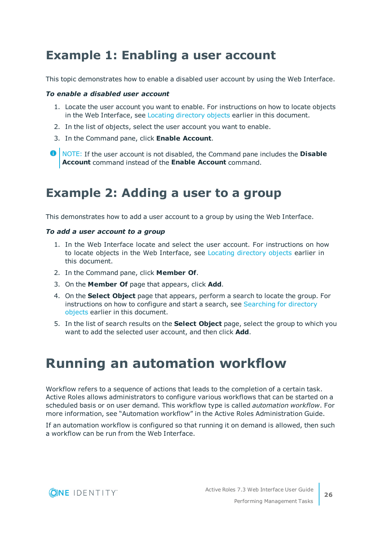### <span id="page-25-0"></span>**Example 1: Enabling a user account**

This topic demonstrates how to enable a disabled user account by using the Web Interface.

#### *To enable a disabled user account*

- 1. Locate the user account you want to enable. For instructions on how to locate objects in the Web Interface, see Locating [directory](#page-17-0) objects earlier in this document.
- 2. In the list of objects, select the user account you want to enable.
- 3. In the Command pane, click **Enable Account**.
- **O** | NOTE: If the user account is not disabled, the Command pane includes the **Disable Account** command instead of the **Enable Account** command.

### <span id="page-25-1"></span>**Example 2: Adding a user to a group**

This demonstrates how to add a user account to a group by using the Web Interface.

#### *To add a user account to a group*

- 1. In the Web Interface locate and select the user account. For instructions on how to locate objects in the Web Interface, see Locating [directory](#page-17-0) objects earlier in this document.
- 2. In the Command pane, click **Member Of**.
- 3. On the **Member Of** page that appears, click **Add**.
- 4. On the **Select Object** page that appears, perform a search to locate the group. For instructions on how to configure and start a search, see [Searching](#page-17-1) for directory [objects](#page-17-1) earlier in this document.
- 5. In the list of search results on the **Select Object** page, select the group to which you want to add the selected user account, and then click **Add**.

## <span id="page-25-2"></span>**Running an automation workflow**

Workflow refers to a sequence of actions that leads to the completion of a certain task. Active Roles allows administrators to configure various workflows that can be started on a scheduled basis or on user demand. This workflow type is called *automation workflow*. For more information, see "Automation workflow" in the Active Roles Administration Guide.

If an automation workflow is configured so that running it on demand is allowed, then such a workflow can be run from the Web Interface.

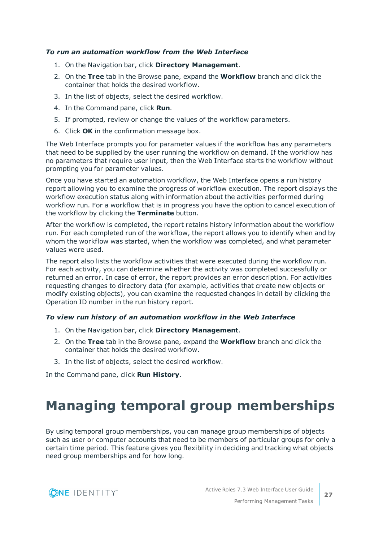#### *To run an automation workflow from the Web Interface*

- 1. On the Navigation bar, click **Directory Management**.
- 2. On the **Tree** tab in the Browse pane, expand the **Workflow** branch and click the container that holds the desired workflow.
- 3. In the list of objects, select the desired workflow.
- 4. In the Command pane, click **Run**.
- 5. If prompted, review or change the values of the workflow parameters.
- 6. Click **OK** in the confirmation message box.

The Web Interface prompts you for parameter values if the workflow has any parameters that need to be supplied by the user running the workflow on demand. If the workflow has no parameters that require user input, then the Web Interface starts the workflow without prompting you for parameter values.

Once you have started an automation workflow, the Web Interface opens a run history report allowing you to examine the progress of workflow execution. The report displays the workflow execution status along with information about the activities performed during workflow run. For a workflow that is in progress you have the option to cancel execution of the workflow by clicking the **Terminate** button.

After the workflow is completed, the report retains history information about the workflow run. For each completed run of the workflow, the report allows you to identify when and by whom the workflow was started, when the workflow was completed, and what parameter values were used.

The report also lists the workflow activities that were executed during the workflow run. For each activity, you can determine whether the activity was completed successfully or returned an error. In case of error, the report provides an error description. For activities requesting changes to directory data (for example, activities that create new objects or modify existing objects), you can examine the requested changes in detail by clicking the Operation ID number in the run history report.

#### *To view run history of an automation workflow in the Web Interface*

- 1. On the Navigation bar, click **Directory Management**.
- 2. On the **Tree** tab in the Browse pane, expand the **Workflow** branch and click the container that holds the desired workflow.
- 3. In the list of objects, select the desired workflow.

<span id="page-26-0"></span>In the Command pane, click **Run History**.

## **Managing temporal group memberships**

By using temporal group memberships, you can manage group memberships of objects such as user or computer accounts that need to be members of particular groups for only a certain time period. This feature gives you flexibility in deciding and tracking what objects need group memberships and for how long.

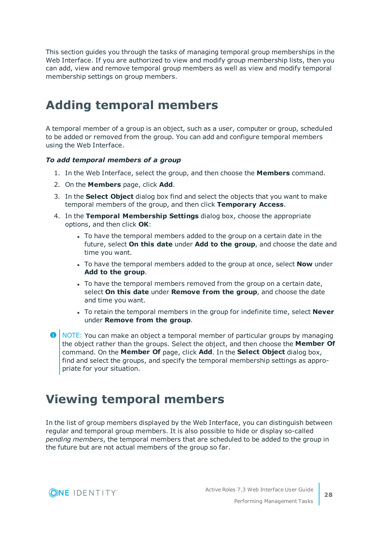This section guides you through the tasks of managing temporal group memberships in the Web Interface. If you are authorized to view and modify group membership lists, then you can add, view and remove temporal group members as well as view and modify temporal membership settings on group members.

### <span id="page-27-0"></span>**Adding temporal members**

A temporal member of a group is an object, such as a user, computer or group, scheduled to be added or removed from the group. You can add and configure temporal members using the Web Interface.

#### *To add temporal members of a group*

- 1. In the Web Interface, select the group, and then choose the **Members** command.
- 2. On the **Members** page, click **Add**.
- 3. In the **Select Object** dialog box find and select the objects that you want to make temporal members of the group, and then click **Temporary Access**.
- 4. In the **Temporal Membership Settings** dialog box, choose the appropriate options, and then click **OK**:
	- To have the temporal members added to the group on a certain date in the future, select **On this date** under **Add to the group**, and choose the date and time you want.
	- **.** To have the temporal members added to the group at once, select **Now** under **Add to the group**.
	- To have the temporal members removed from the group on a certain date, select **On this date** under **Remove from the group**, and choose the date and time you want.
	- <sup>l</sup> To retain the temporal members in the group for indefinite time, select **Never** under **Remove from the group**.
- **O** NOTE: You can make an object a temporal member of particular groups by managing the object rather than the groups. Select the object, and then choose the **Member Of** command. On the **Member Of** page, click **Add**. In the **Select Object** dialog box, find and select the groups, and specify the temporal membership settings as appropriate for your situation.

### <span id="page-27-1"></span>**Viewing temporal members**

In the list of group members displayed by the Web Interface, you can distinguish between regular and temporal group members. It is also possible to hide or display so-called *pending members*, the temporal members that are scheduled to be added to the group in the future but are not actual members of the group so far.

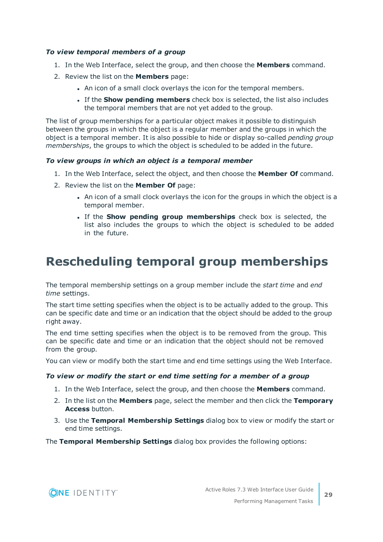#### *To view temporal members of a group*

- 1. In the Web Interface, select the group, and then choose the **Members** command.
- 2. Review the list on the **Members** page:
	- . An icon of a small clock overlays the icon for the temporal members.
	- <sup>l</sup> If the **Show pending members** check box is selected, the list also includes the temporal members that are not yet added to the group.

The list of group memberships for a particular object makes it possible to distinguish between the groups in which the object is a regular member and the groups in which the object is a temporal member. It is also possible to hide or display so-called *pending group memberships*, the groups to which the object is scheduled to be added in the future.

#### *To view groups in which an object is a temporal member*

- 1. In the Web Interface, select the object, and then choose the **Member Of** command.
- 2. Review the list on the **Member Of** page:
	- An icon of a small clock overlays the icon for the groups in which the object is a temporal member.
	- <sup>l</sup> If the **Show pending group memberships** check box is selected, the list also includes the groups to which the object is scheduled to be added in the future.

### <span id="page-28-0"></span>**Rescheduling temporal group memberships**

The temporal membership settings on a group member include the *start time* and *end time* settings.

The start time setting specifies when the object is to be actually added to the group. This can be specific date and time or an indication that the object should be added to the group right away.

The end time setting specifies when the object is to be removed from the group. This can be specific date and time or an indication that the object should not be removed from the group.

You can view or modify both the start time and end time settings using the Web Interface.

#### *To view or modify the start or end time setting for a member of a group*

- 1. In the Web Interface, select the group, and then choose the **Members** command.
- 2. In the list on the **Members** page, select the member and then click the **Temporary Access** button.
- 3. Use the **Temporal Membership Settings** dialog box to view or modify the start or end time settings.

The **Temporal Membership Settings** dialog box provides the following options:

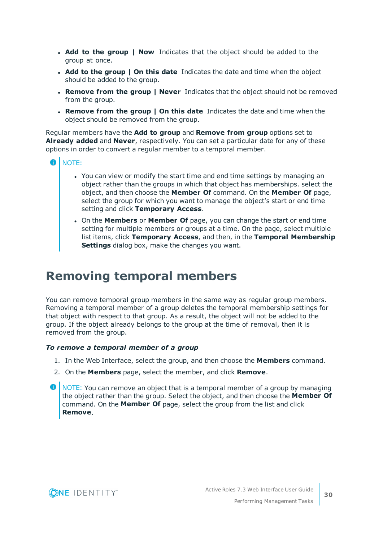- <sup>l</sup> **Add to the group | Now** Indicates that the object should be added to the group at once.
- <sup>l</sup> **Add to the group | On this date** Indicates the date and time when the object should be added to the group.
- <sup>l</sup> **Remove from the group | Never** Indicates that the object should not be removed from the group.
- <sup>l</sup> **Remove from the group | On this date** Indicates the date and time when the object should be removed from the group.

Regular members have the **Add to group** and **Remove from group** options set to **Already added** and **Never**, respectively. You can set a particular date for any of these options in order to convert a regular member to a temporal member.

- 6 NOTE:
	- You can view or modify the start time and end time settings by managing an object rather than the groups in which that object has memberships. select the object, and then choose the **Member Of** command. On the **Member Of** page, select the group for which you want to manage the object's start or end time setting and click **Temporary Access**.
	- <sup>l</sup> On the **Members** or **Member Of** page, you can change the start or end time setting for multiple members or groups at a time. On the page, select multiple list items, click **Temporary Access**, and then, in the **Temporal Membership Settings** dialog box, make the changes you want.

### <span id="page-29-0"></span>**Removing temporal members**

You can remove temporal group members in the same way as regular group members. Removing a temporal member of a group deletes the temporal membership settings for that object with respect to that group. As a result, the object will not be added to the group. If the object already belongs to the group at the time of removal, then it is removed from the group.

#### *To remove a temporal member of a group*

- 1. In the Web Interface, select the group, and then choose the **Members** command.
- 2. On the **Members** page, select the member, and click **Remove**.
- $\bullet$  NOTE: You can remove an object that is a temporal member of a group by managing the object rather than the group. Select the object, and then choose the **Member Of** command. On the **Member Of** page, select the group from the list and click **Remove**.

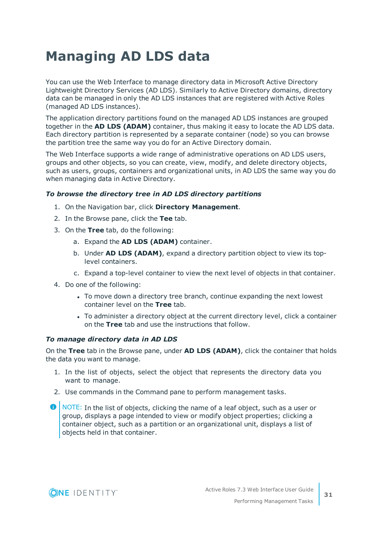## <span id="page-30-0"></span>**Managing AD LDS data**

You can use the Web Interface to manage directory data in Microsoft Active Directory Lightweight Directory Services (AD LDS). Similarly to Active Directory domains, directory data can be managed in only the AD LDS instances that are registered with Active Roles (managed AD LDS instances).

The application directory partitions found on the managed AD LDS instances are grouped together in the **AD LDS (ADAM)** container, thus making it easy to locate the AD LDS data. Each directory partition is represented by a separate container (node) so you can browse the partition tree the same way you do for an Active Directory domain.

The Web Interface supports a wide range of administrative operations on AD LDS users, groups and other objects, so you can create, view, modify, and delete directory objects, such as users, groups, containers and organizational units, in AD LDS the same way you do when managing data in Active Directory.

#### *To browse the directory tree in AD LDS directory partitions*

- 1. On the Navigation bar, click **Directory Management**.
- 2. In the Browse pane, click the **Tee** tab.
- 3. On the **Tree** tab, do the following:
	- a. Expand the **AD LDS (ADAM)** container.
	- b. Under **AD LDS (ADAM)**, expand a directory partition object to view its toplevel containers.
	- c. Expand a top-level container to view the next level of objects in that container.
- 4. Do one of the following:
	- To move down a directory tree branch, continue expanding the next lowest container level on the **Tree** tab.
	- To administer a directory object at the current directory level, click a container on the **Tree** tab and use the instructions that follow.

#### *To manage directory data in AD LDS*

On the **Tree** tab in the Browse pane, under **AD LDS (ADAM)**, click the container that holds the data you want to manage.

- 1. In the list of objects, select the object that represents the directory data you want to manage.
- 2. Use commands in the Command pane to perform management tasks.
- **O** NOTE: In the list of objects, clicking the name of a leaf object, such as a user or group, displays a page intended to view or modify object properties; clicking a container object, such as a partition or an organizational unit, displays a list of objects held in that container.

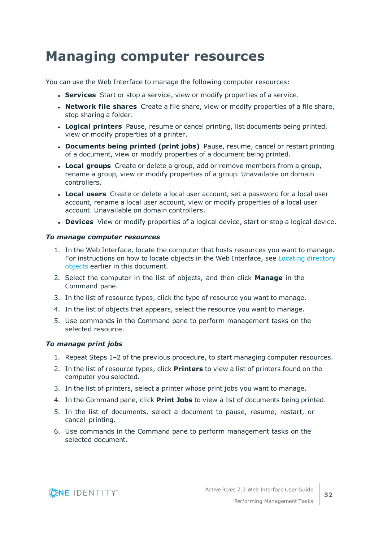## <span id="page-31-0"></span>**Managing computer resources**

You can use the Web Interface to manage the following computer resources:

- **. Services** Start or stop a service, view or modify properties of a service.
- <sup>l</sup> **Network file shares** Create a file share, view or modify properties of a file share, stop sharing a folder.
- **Logical printers** Pause, resume or cancel printing, list documents being printed, view or modify properties of a printer.
- <sup>l</sup> **Documents being printed (print jobs)** Pause, resume, cancel or restart printing of a document, view or modify properties of a document being printed.
- **Local groups** Create or delete a group, add or remove members from a group, rename a group, view or modify properties of a group. Unavailable on domain controllers.
- **Local users** Create or delete a local user account, set a password for a local user account, rename a local user account, view or modify properties of a local user account. Unavailable on domain controllers.
- **.** Devices View or modify properties of a logical device, start or stop a logical device.

#### *To manage computer resources*

- 1. In the Web Interface, locate the computer that hosts resources you want to manage. For instructions on how to locate objects in the Web Interface, see Locating [directory](#page-17-0) [objects](#page-17-0) earlier in this document.
- 2. Select the computer in the list of objects, and then click **Manage** in the Command pane.
- 3. In the list of resource types, click the type of resource you want to manage.
- 4. In the list of objects that appears, select the resource you want to manage.
- 5. Use commands in the Command pane to perform management tasks on the selected resource.

#### *To manage print jobs*

- 1. Repeat Steps 1–2 of the previous procedure, to start managing computer resources.
- 2. In the list of resource types, click **Printers** to view a list of printers found on the computer you selected.
- 3. In the list of printers, select a printer whose print jobs you want to manage.
- 4. In the Command pane, click **Print Jobs** to view a list of documents being printed.
- 5. In the list of documents, select a document to pause, resume, restart, or cancel printing.
- 6. Use commands in the Command pane to perform management tasks on the selected document.

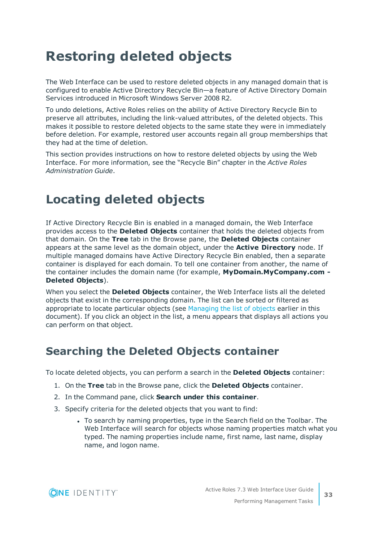## <span id="page-32-0"></span>**Restoring deleted objects**

The Web Interface can be used to restore deleted objects in any managed domain that is configured to enable Active Directory Recycle Bin—a feature of Active Directory Domain Services introduced in Microsoft Windows Server 2008 R2.

To undo deletions, Active Roles relies on the ability of Active Directory Recycle Bin to preserve all attributes, including the link-valued attributes, of the deleted objects. This makes it possible to restore deleted objects to the same state they were in immediately before deletion. For example, restored user accounts regain all group memberships that they had at the time of deletion.

This section provides instructions on how to restore deleted objects by using the Web Interface. For more information, see the "Recycle Bin" chapter in the *Active Roles Administration Guide*.

### <span id="page-32-1"></span>**Locating deleted objects**

If Active Directory Recycle Bin is enabled in a managed domain, the Web Interface provides access to the **Deleted Objects** container that holds the deleted objects from that domain. On the **Tree** tab in the Browse pane, the **Deleted Objects** container appears at the same level as the domain object, under the **Active Directory** node. If multiple managed domains have Active Directory Recycle Bin enabled, then a separate container is displayed for each domain. To tell one container from another, the name of the container includes the domain name (for example, **MyDomain.MyCompany.com - Deleted Objects**).

When you select the **Deleted Objects** container, the Web Interface lists all the deleted objects that exist in the corresponding domain. The list can be sorted or filtered as appropriate to locate particular objects (see [Managing](#page-15-0) the list of objects earlier in this document). If you click an object in the list, a menu appears that displays all actions you can perform on that object.

### <span id="page-32-2"></span>**Searching the Deleted Objects container**

To locate deleted objects, you can perform a search in the **Deleted Objects** container:

- 1. On the **Tree** tab in the Browse pane, click the **Deleted Objects** container.
- 2. In the Command pane, click **Search under this container**.
- 3. Specify criteria for the deleted objects that you want to find:
	- To search by naming properties, type in the Search field on the Toolbar. The Web Interface will search for objects whose naming properties match what you typed. The naming properties include name, first name, last name, display name, and logon name.

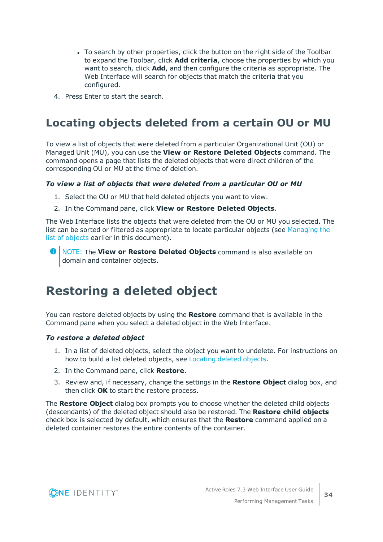- To search by other properties, click the button on the right side of the Toolbar to expand the Toolbar, click **Add criteria**, choose the properties by which you want to search, click **Add**, and then configure the criteria as appropriate. The Web Interface will search for objects that match the criteria that you configured.
- <span id="page-33-0"></span>4. Press Enter to start the search.

### **Locating objects deleted from a certain OU or MU**

To view a list of objects that were deleted from a particular Organizational Unit (OU) or Managed Unit (MU), you can use the **View or Restore Deleted Objects** command. The command opens a page that lists the deleted objects that were direct children of the corresponding OU or MU at the time of deletion.

#### *To view a list of objects that were deleted from a particular OU or MU*

- 1. Select the OU or MU that held deleted objects you want to view.
- 2. In the Command pane, click **View or Restore Deleted Objects**.

The Web Interface lists the objects that were deleted from the OU or MU you selected. The list can be sorted or filtered as appropriate to locate particular objects (see [Managing](#page-15-0) the list of [objects](#page-15-0) earlier in this document).

NOTE: The **View or Restore Deleted Objects** command is also available on domain and container objects.

### <span id="page-33-1"></span>**Restoring a deleted object**

You can restore deleted objects by using the **Restore** command that is available in the Command pane when you select a deleted object in the Web Interface.

#### *To restore a deleted object*

- 1. In a list of deleted objects, select the object you want to undelete. For instructions on how to build a list deleted objects, see [Locating](#page-32-1) deleted objects.
- 2. In the Command pane, click **Restore**.
- 3. Review and, if necessary, change the settings in the **Restore Object** dialog box, and then click **OK** to start the restore process.

The **Restore Object** dialog box prompts you to choose whether the deleted child objects (descendants) of the deleted object should also be restored. The **Restore child objects** check box is selected by default, which ensures that the **Restore** command applied on a deleted container restores the entire contents of the container.

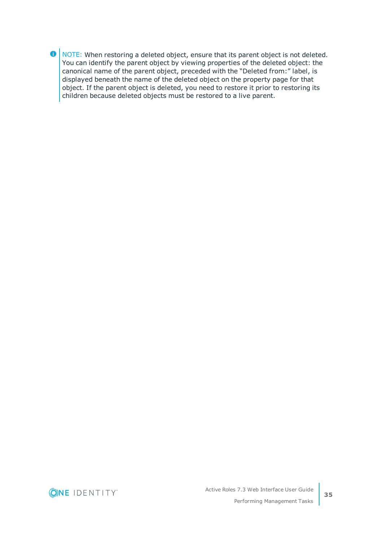**O** NOTE: When restoring a deleted object, ensure that its parent object is not deleted. You can identify the parent object by viewing properties of the deleted object: the canonical name of the parent object, preceded with the "Deleted from:" label, is displayed beneath the name of the deleted object on the property page for that object. If the parent object is deleted, you need to restore it prior to restoring its children because deleted objects must be restored to a live parent.



**35**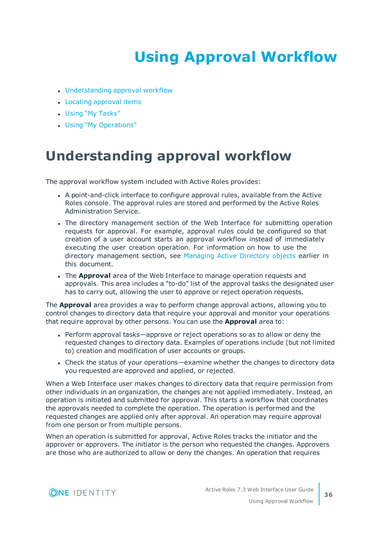# **Using Approval Workflow**

- <span id="page-35-0"></span>• [Understanding](#page-35-1) approval workflow
- Locating [approval](#page-36-0) items
- Using "My [Tasks"](#page-37-0)
- <span id="page-35-1"></span>• Using "My [Operations"](#page-40-0)

## **Understanding approval workflow**

The approval workflow system included with Active Roles provides:

- <sup>l</sup> A point-and-click interface to configure approval rules, available from the Active Roles console. The approval rules are stored and performed by the Active Roles Administration Service.
- The directory management section of the Web Interface for submitting operation requests for approval. For example, approval rules could be configured so that creation of a user account starts an approval workflow instead of immediately executing the user creation operation. For information on how to use the directory management section, see [Managing](#page-23-0) Active Directory objects earlier in this document.
- **.** The **Approval** area of the Web Interface to manage operation requests and approvals. This area includes a "to-do" list of the approval tasks the designated user has to carry out, allowing the user to approve or reject operation requests.

The **Approval** area provides a way to perform change approval actions, allowing you to control changes to directory data that require your approval and monitor your operations that require approval by other persons. You can use the **Approval** area to:

- Perform approval tasks—approve or reject operations so as to allow or deny the requested changes to directory data. Examples of operations include (but not limited to) creation and modification of user accounts or groups.
- Check the status of your operations—examine whether the changes to directory data you requested are approved and applied, or rejected.

When a Web Interface user makes changes to directory data that require permission from other individuals in an organization, the changes are not applied immediately. Instead, an operation is initiated and submitted for approval. This starts a workflow that coordinates the approvals needed to complete the operation. The operation is performed and the requested changes are applied only after approval. An operation may require approval from one person or from multiple persons.

When an operation is submitted for approval, Active Roles tracks the initiator and the approver or approvers. The initiator is the person who requested the changes. Approvers are those who are authorized to allow or deny the changes. An operation that requires

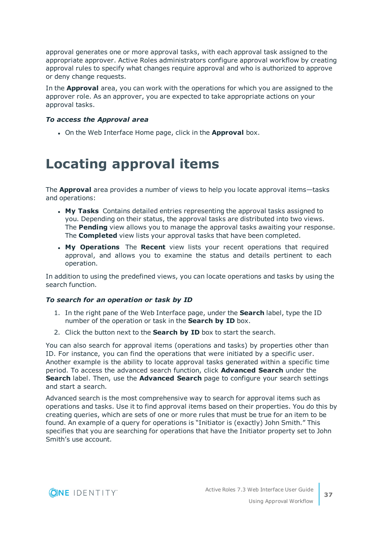approval generates one or more approval tasks, with each approval task assigned to the appropriate approver. Active Roles administrators configure approval workflow by creating approval rules to specify what changes require approval and who is authorized to approve or deny change requests.

In the **Approval** area, you can work with the operations for which you are assigned to the approver role. As an approver, you are expected to take appropriate actions on your approval tasks.

#### *To access the Approval area*

<span id="page-36-0"></span>**.** On the Web Interface Home page, click in the **Approval** box.

## **Locating approval items**

The **Approval** area provides a number of views to help you locate approval items—tasks and operations:

- <sup>l</sup> **My Tasks** Contains detailed entries representing the approval tasks assigned to you. Depending on their status, the approval tasks are distributed into two views. The **Pending** view allows you to manage the approval tasks awaiting your response. The **Completed** view lists your approval tasks that have been completed.
- **. My Operations** The **Recent** view lists your recent operations that required approval, and allows you to examine the status and details pertinent to each operation.

In addition to using the predefined views, you can locate operations and tasks by using the search function.

#### *To search for an operation or task by ID*

- 1. In the right pane of the Web Interface page, under the **Search** label, type the ID number of the operation or task in the **Search by ID** box.
- 2. Click the button next to the **Search by ID** box to start the search.

You can also search for approval items (operations and tasks) by properties other than ID. For instance, you can find the operations that were initiated by a specific user. Another example is the ability to locate approval tasks generated within a specific time period. To access the advanced search function, click **Advanced Search** under the **Search** label. Then, use the **Advanced Search** page to configure your search settings and start a search.

Advanced search is the most comprehensive way to search for approval items such as operations and tasks. Use it to find approval items based on their properties. You do this by creating queries, which are sets of one or more rules that must be true for an item to be found. An example of a query for operations is "Initiator is (exactly) John Smith." This specifies that you are searching for operations that have the Initiator property set to John Smith's use account.

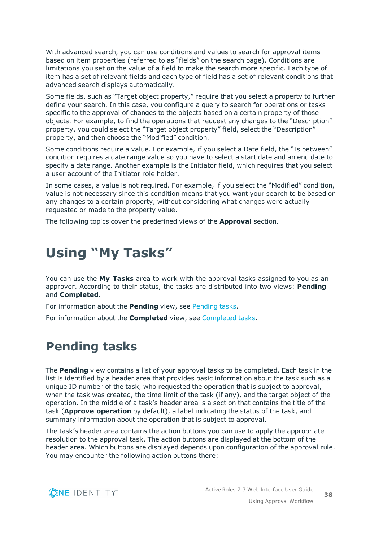With advanced search, you can use conditions and values to search for approval items based on item properties (referred to as "fields" on the search page). Conditions are limitations you set on the value of a field to make the search more specific. Each type of item has a set of relevant fields and each type of field has a set of relevant conditions that advanced search displays automatically.

Some fields, such as "Target object property," require that you select a property to further define your search. In this case, you configure a query to search for operations or tasks specific to the approval of changes to the objects based on a certain property of those objects. For example, to find the operations that request any changes to the "Description" property, you could select the "Target object property" field, select the "Description" property, and then choose the "Modified" condition.

Some conditions require a value. For example, if you select a Date field, the "Is between" condition requires a date range value so you have to select a start date and an end date to specify a date range. Another example is the Initiator field, which requires that you select a user account of the Initiator role holder.

In some cases, a value is not required. For example, if you select the "Modified" condition, value is not necessary since this condition means that you want your search to be based on any changes to a certain property, without considering what changes were actually requested or made to the property value.

<span id="page-37-0"></span>The following topics cover the predefined views of the **Approval** section.

## **Using "My Tasks"**

You can use the **My Tasks** area to work with the approval tasks assigned to you as an approver. According to their status, the tasks are distributed into two views: **Pending** and **Completed**.

For information about the **Pending** view, see [Pending](#page-37-1) tasks.

<span id="page-37-1"></span>For information about the **Completed** view, see [Completed](#page-39-0) tasks.

### **Pending tasks**

The **Pending** view contains a list of your approval tasks to be completed. Each task in the list is identified by a header area that provides basic information about the task such as a unique ID number of the task, who requested the operation that is subject to approval, when the task was created, the time limit of the task (if any), and the target object of the operation. In the middle of a task's header area is a section that contains the title of the task (**Approve operation** by default), a label indicating the status of the task, and summary information about the operation that is subject to approval.

The task's header area contains the action buttons you can use to apply the appropriate resolution to the approval task. The action buttons are displayed at the bottom of the header area. Which buttons are displayed depends upon configuration of the approval rule. You may encounter the following action buttons there:

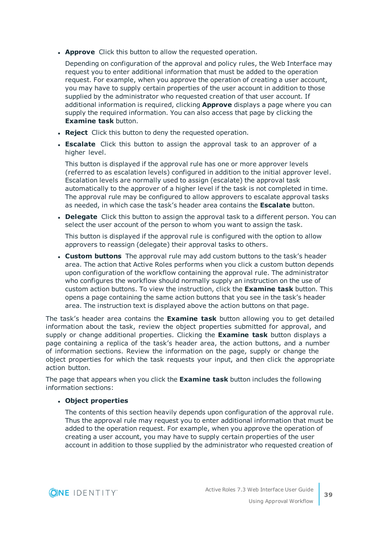**Approve** Click this button to allow the requested operation.

Depending on configuration of the approval and policy rules, the Web Interface may request you to enter additional information that must be added to the operation request. For example, when you approve the operation of creating a user account, you may have to supply certain properties of the user account in addition to those supplied by the administrator who requested creation of that user account. If additional information is required, clicking **Approve** displays a page where you can supply the required information. You can also access that page by clicking the **Examine task** button.

- **Reject** Click this button to deny the requested operation.
- **Escalate** Click this button to assign the approval task to an approver of a higher level.

This button is displayed if the approval rule has one or more approver levels (referred to as escalation levels) configured in addition to the initial approver level. Escalation levels are normally used to assign (escalate) the approval task automatically to the approver of a higher level if the task is not completed in time. The approval rule may be configured to allow approvers to escalate approval tasks as needed, in which case the task's header area contains the **Escalate** button.

**Delegate** Click this button to assign the approval task to a different person. You can select the user account of the person to whom you want to assign the task.

This button is displayed if the approval rule is configured with the option to allow approvers to reassign (delegate) their approval tasks to others.

<sup>l</sup> **Custom buttons** The approval rule may add custom buttons to the task's header area. The action that Active Roles performs when you click a custom button depends upon configuration of the workflow containing the approval rule. The administrator who configures the workflow should normally supply an instruction on the use of custom action buttons. To view the instruction, click the **Examine task** button. This opens a page containing the same action buttons that you see in the task's header area. The instruction text is displayed above the action buttons on that page.

The task's header area contains the **Examine task** button allowing you to get detailed information about the task, review the object properties submitted for approval, and supply or change additional properties. Clicking the **Examine task** button displays a page containing a replica of the task's header area, the action buttons, and a number of information sections. Review the information on the page, supply or change the object properties for which the task requests your input, and then click the appropriate action button.

The page that appears when you click the **Examine task** button includes the following information sections:

#### <sup>l</sup> **Object properties**

The contents of this section heavily depends upon configuration of the approval rule. Thus the approval rule may request you to enter additional information that must be added to the operation request. For example, when you approve the operation of creating a user account, you may have to supply certain properties of the user account in addition to those supplied by the administrator who requested creation of

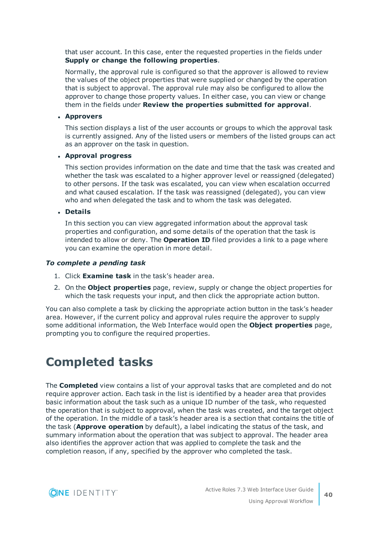that user account. In this case, enter the requested properties in the fields under **Supply or change the following properties**.

Normally, the approval rule is configured so that the approver is allowed to review the values of the object properties that were supplied or changed by the operation that is subject to approval. The approval rule may also be configured to allow the approver to change those property values. In either case, you can view or change them in the fields under **Review the properties submitted for approval**.

#### <sup>l</sup> **Approvers**

This section displays a list of the user accounts or groups to which the approval task is currently assigned. Any of the listed users or members of the listed groups can act as an approver on the task in question.

#### <sup>l</sup> **Approval progress**

This section provides information on the date and time that the task was created and whether the task was escalated to a higher approver level or reassigned (delegated) to other persons. If the task was escalated, you can view when escalation occurred and what caused escalation. If the task was reassigned (delegated), you can view who and when delegated the task and to whom the task was delegated.

<sup>l</sup> **Details**

In this section you can view aggregated information about the approval task properties and configuration, and some details of the operation that the task is intended to allow or deny. The **Operation ID** filed provides a link to a page where you can examine the operation in more detail.

#### *To complete a pending task*

- 1. Click **Examine task** in the task's header area.
- 2. On the **Object properties** page, review, supply or change the object properties for which the task requests your input, and then click the appropriate action button.

You can also complete a task by clicking the appropriate action button in the task's header area. However, if the current policy and approval rules require the approver to supply some additional information, the Web Interface would open the **Object properties** page, prompting you to configure the required properties.

### <span id="page-39-0"></span>**Completed tasks**

The **Completed** view contains a list of your approval tasks that are completed and do not require approver action. Each task in the list is identified by a header area that provides basic information about the task such as a unique ID number of the task, who requested the operation that is subject to approval, when the task was created, and the target object of the operation. In the middle of a task's header area is a section that contains the title of the task (**Approve operation** by default), a label indicating the status of the task, and summary information about the operation that was subject to approval. The header area also identifies the approver action that was applied to complete the task and the completion reason, if any, specified by the approver who completed the task.

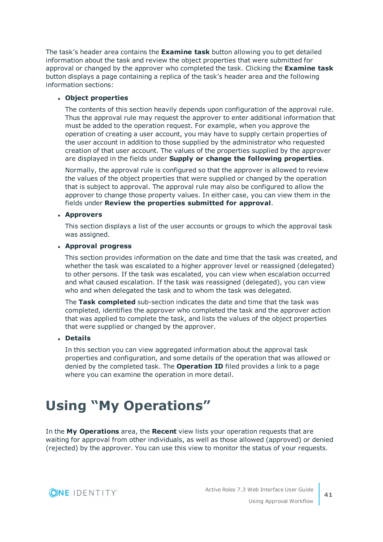The task's header area contains the **Examine task** button allowing you to get detailed information about the task and review the object properties that were submitted for approval or changed by the approver who completed the task. Clicking the **Examine task** button displays a page containing a replica of the task's header area and the following information sections:

#### <sup>l</sup> **Object properties**

The contents of this section heavily depends upon configuration of the approval rule. Thus the approval rule may request the approver to enter additional information that must be added to the operation request. For example, when you approve the operation of creating a user account, you may have to supply certain properties of the user account in addition to those supplied by the administrator who requested creation of that user account. The values of the properties supplied by the approver are displayed in the fields under **Supply or change the following properties**.

Normally, the approval rule is configured so that the approver is allowed to review the values of the object properties that were supplied or changed by the operation that is subject to approval. The approval rule may also be configured to allow the approver to change those property values. In either case, you can view them in the fields under **Review the properties submitted for approval**.

#### <sup>l</sup> **Approvers**

This section displays a list of the user accounts or groups to which the approval task was assigned.

#### <sup>l</sup> **Approval progress**

This section provides information on the date and time that the task was created, and whether the task was escalated to a higher approver level or reassigned (delegated) to other persons. If the task was escalated, you can view when escalation occurred and what caused escalation. If the task was reassigned (delegated), you can view who and when delegated the task and to whom the task was delegated.

The **Task completed** sub-section indicates the date and time that the task was completed, identifies the approver who completed the task and the approver action that was applied to complete the task, and lists the values of the object properties that were supplied or changed by the approver.

#### <sup>l</sup> **Details**

In this section you can view aggregated information about the approval task properties and configuration, and some details of the operation that was allowed or denied by the completed task. The **Operation ID** filed provides a link to a page where you can examine the operation in more detail.

## <span id="page-40-0"></span>**Using "My Operations"**

In the **My Operations** area, the **Recent** view lists your operation requests that are waiting for approval from other individuals, as well as those allowed (approved) or denied (rejected) by the approver. You can use this view to monitor the status of your requests.

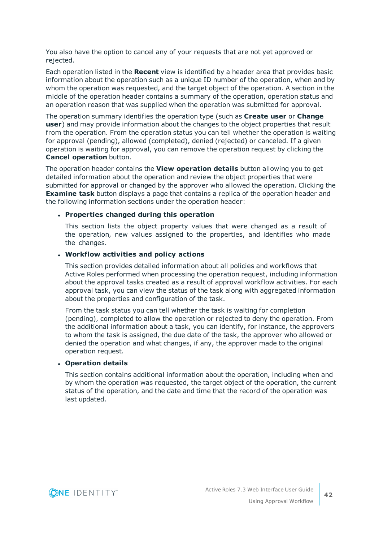You also have the option to cancel any of your requests that are not yet approved or rejected.

Each operation listed in the **Recent** view is identified by a header area that provides basic information about the operation such as a unique ID number of the operation, when and by whom the operation was requested, and the target object of the operation. A section in the middle of the operation header contains a summary of the operation, operation status and an operation reason that was supplied when the operation was submitted for approval.

The operation summary identifies the operation type (such as **Create user** or **Change user**) and may provide information about the changes to the object properties that result from the operation. From the operation status you can tell whether the operation is waiting for approval (pending), allowed (completed), denied (rejected) or canceled. If a given operation is waiting for approval, you can remove the operation request by clicking the **Cancel operation** button.

The operation header contains the **View operation details** button allowing you to get detailed information about the operation and review the object properties that were submitted for approval or changed by the approver who allowed the operation. Clicking the **Examine task** button displays a page that contains a replica of the operation header and the following information sections under the operation header:

#### <sup>l</sup> **Properties changed during this operation**

This section lists the object property values that were changed as a result of the operation, new values assigned to the properties, and identifies who made the changes.

#### <sup>l</sup> **Workflow activities and policy actions**

This section provides detailed information about all policies and workflows that Active Roles performed when processing the operation request, including information about the approval tasks created as a result of approval workflow activities. For each approval task, you can view the status of the task along with aggregated information about the properties and configuration of the task.

From the task status you can tell whether the task is waiting for completion (pending), completed to allow the operation or rejected to deny the operation. From the additional information about a task, you can identify, for instance, the approvers to whom the task is assigned, the due date of the task, the approver who allowed or denied the operation and what changes, if any, the approver made to the original operation request.

#### <sup>l</sup> **Operation details**

This section contains additional information about the operation, including when and by whom the operation was requested, the target object of the operation, the current status of the operation, and the date and time that the record of the operation was last updated.